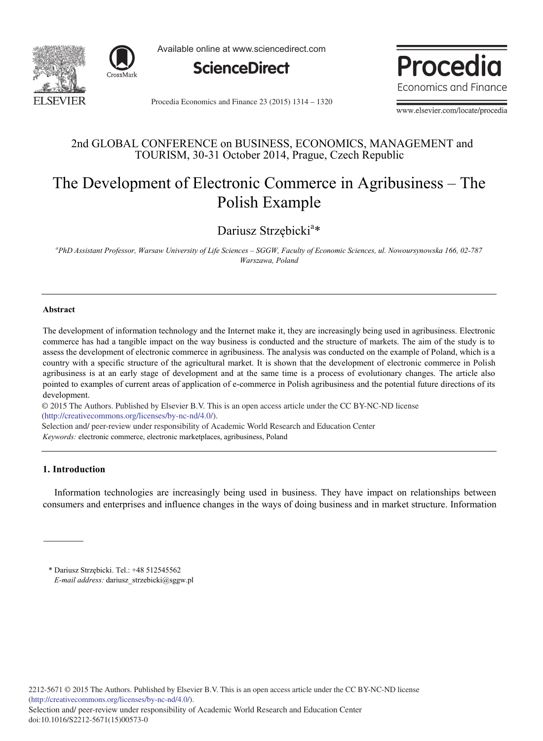



Available online at www.sciencedirect.com



Procedia Economics and Finance

Procedia Economics and Finance 23 (2015) 1314 - 1320

www.elsevier.com/locate/procedia

### 2nd GLOBAL CONFERENCE on BUSINESS, ECONOMICS, MANAGEMENT and TOURISM, 30-31 October 2014, Prague, Czech Republic

# The Development of Electronic Commerce in Agribusiness – The Polish Example

Dariusz Strzębicki<sup>a\*</sup>

*a PhD Assistant Professor, Warsaw University of Life Sciences – SGGW, Faculty of Economic Sciences, ul. Nowoursynowska 166, 02-787 Warszawa, Poland*

#### **Abstract**

The development of information technology and the Internet make it, they are increasingly being used in agribusiness. Electronic commerce has had a tangible impact on the way business is conducted and the structure of markets. The aim of the study is to assess the development of electronic commerce in agribusiness. The analysis was conducted on the example of Poland, which is a country with a specific structure of the agricultural market. It is shown that the development of electronic commerce in Polish agribusiness is at an early stage of development and at the same time is a process of evolutionary changes. The article also pointed to examples of current areas of application of e-commerce in Polish agribusiness and the potential future directions of its development.

© 2014 The Authors. Published by Elsevier B.V. © 2015 The Authors. Published by Elsevier B.V. This is an open access article under the CC BY-NC-ND license http://creativecommons.org/licenses/by-nc-nd/4.0/).

Selection and/ peer-review under responsibility of Academic World Research and Education Center

*Keywords:* electronic commerce, electronic marketplaces, agribusiness, Poland

### **1. Introduction**

Information technologies are increasingly being used in business. They have impact on relationships between consumers and enterprises and influence changes in the ways of doing business and in market structure. Information

<sup>\*</sup> Dariusz Strzębicki. Tel.: +48 512545562 *E-mail address:* dariusz\_strzebicki@sggw.pl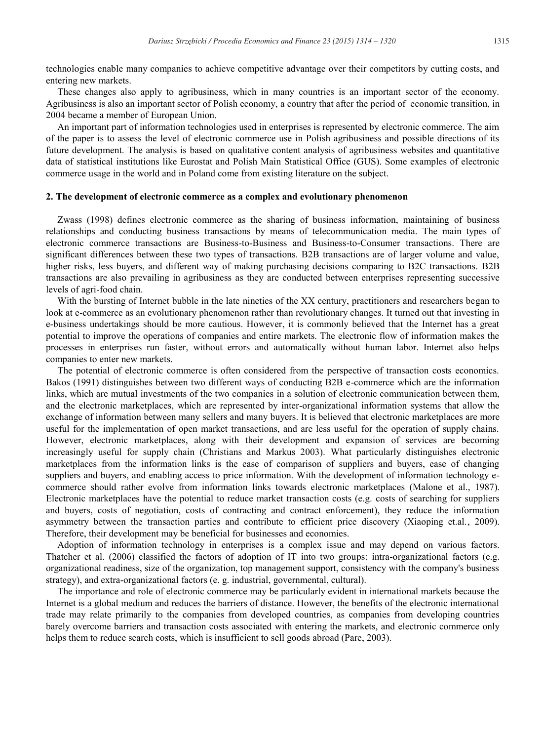technologies enable many companies to achieve competitive advantage over their competitors by cutting costs, and entering new markets.

These changes also apply to agribusiness, which in many countries is an important sector of the economy. Agribusiness is also an important sector of Polish economy, a country that after the period of economic transition, in 2004 became a member of European Union.

An important part of information technologies used in enterprises is represented by electronic commerce. The aim of the paper is to assess the level of electronic commerce use in Polish agribusiness and possible directions of its future development. The analysis is based on qualitative content analysis of agribusiness websites and quantitative data of statistical institutions like Eurostat and Polish Main Statistical Office (GUS). Some examples of electronic commerce usage in the world and in Poland come from existing literature on the subject.

#### **2. The development of electronic commerce as a complex and evolutionary phenomenon**

Zwass (1998) defines electronic commerce as the sharing of business information, maintaining of business relationships and conducting business transactions by means of telecommunication media. The main types of electronic commerce transactions are Business-to-Business and Business-to-Consumer transactions. There are significant differences between these two types of transactions. B2B transactions are of larger volume and value, higher risks, less buyers, and different way of making purchasing decisions comparing to B2C transactions. B2B transactions are also prevailing in agribusiness as they are conducted between enterprises representing successive levels of agri-food chain.

With the bursting of Internet bubble in the late nineties of the XX century, practitioners and researchers began to look at e-commerce as an evolutionary phenomenon rather than revolutionary changes. It turned out that investing in e-business undertakings should be more cautious. However, it is commonly believed that the Internet has a great potential to improve the operations of companies and entire markets. The electronic flow of information makes the processes in enterprises run faster, without errors and automatically without human labor. Internet also helps companies to enter new markets.

The potential of electronic commerce is often considered from the perspective of transaction costs economics. Bakos (1991) distinguishes between two different ways of conducting B2B e-commerce which are the information links, which are mutual investments of the two companies in a solution of electronic communication between them, and the electronic marketplaces, which are represented by inter-organizational information systems that allow the exchange of information between many sellers and many buyers. It is believed that electronic marketplaces are more useful for the implementation of open market transactions, and are less useful for the operation of supply chains. However, electronic marketplaces, along with their development and expansion of services are becoming increasingly useful for supply chain (Christians and Markus 2003). What particularly distinguishes electronic marketplaces from the information links is the ease of comparison of suppliers and buyers, ease of changing suppliers and buyers, and enabling access to price information. With the development of information technology ecommerce should rather evolve from information links towards electronic marketplaces (Malone et al., 1987). Electronic marketplaces have the potential to reduce market transaction costs (e.g. costs of searching for suppliers and buyers, costs of negotiation, costs of contracting and contract enforcement), they reduce the information asymmetry between the transaction parties and contribute to efficient price discovery (Xiaoping et.al., 2009). Therefore, their development may be beneficial for businesses and economies.

Adoption of information technology in enterprises is a complex issue and may depend on various factors. Thatcher et al. (2006) classified the factors of adoption of IT into two groups: intra-organizational factors (e.g. organizational readiness, size of the organization, top management support, consistency with the company's business strategy), and extra-organizational factors (e. g. industrial, governmental, cultural).

The importance and role of electronic commerce may be particularly evident in international markets because the Internet is a global medium and reduces the barriers of distance. However, the benefits of the electronic international trade may relate primarily to the companies from developed countries, as companies from developing countries barely overcome barriers and transaction costs associated with entering the markets, and electronic commerce only helps them to reduce search costs, which is insufficient to sell goods abroad (Pare, 2003).